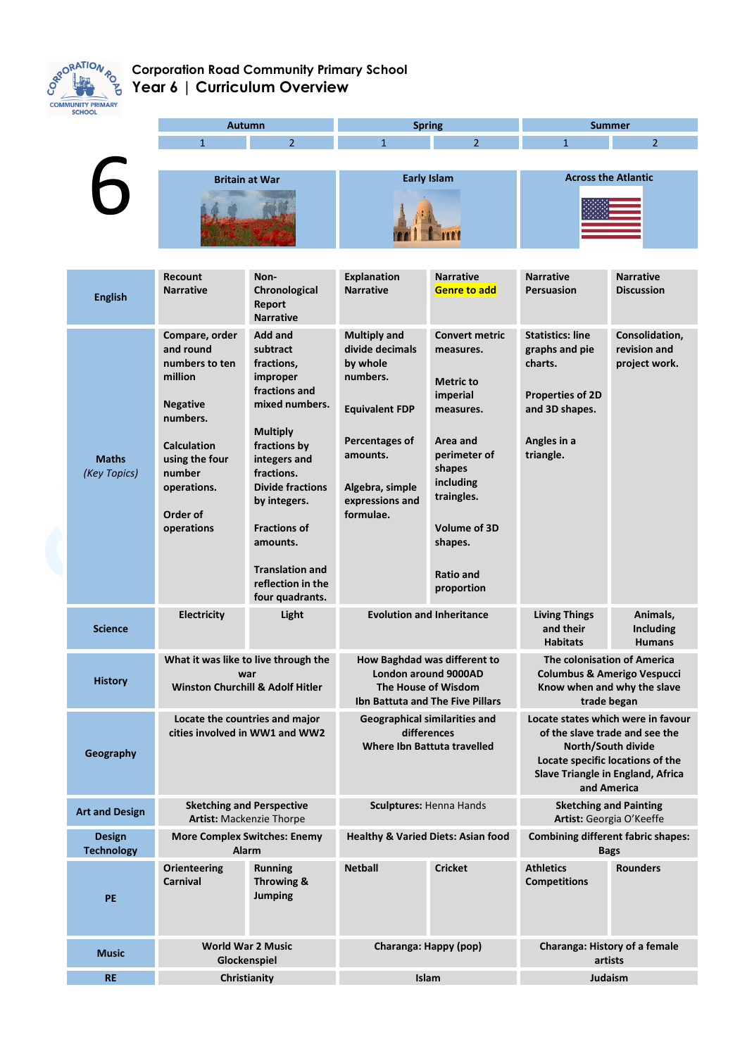

## **Corporation Road Community Primary School Year 6 | Curriculum Overview**

| <b>SCHOOL</b>                                        |                                                                     |                                               |                                             |                                           |                                                                                      |                   |  |
|------------------------------------------------------|---------------------------------------------------------------------|-----------------------------------------------|---------------------------------------------|-------------------------------------------|--------------------------------------------------------------------------------------|-------------------|--|
|                                                      | <b>Autumn</b>                                                       |                                               | <b>Spring</b>                               |                                           | <b>Summer</b>                                                                        |                   |  |
|                                                      | $\mathbf{1}$                                                        | 2 <sup>1</sup>                                | $\overline{1}$                              | $\overline{2}$                            | $\mathbf{1}$                                                                         | $\overline{2}$    |  |
|                                                      |                                                                     |                                               |                                             |                                           |                                                                                      |                   |  |
|                                                      | <b>Britain at War</b>                                               |                                               | <b>Early Islam</b>                          |                                           | <b>Across the Atlantic</b>                                                           |                   |  |
|                                                      |                                                                     |                                               |                                             |                                           |                                                                                      |                   |  |
|                                                      |                                                                     |                                               |                                             |                                           |                                                                                      |                   |  |
|                                                      |                                                                     |                                               |                                             |                                           |                                                                                      |                   |  |
|                                                      |                                                                     |                                               |                                             |                                           |                                                                                      |                   |  |
|                                                      | <b>Recount</b>                                                      | Non-                                          | <b>Explanation</b>                          | <b>Narrative</b>                          | <b>Narrative</b>                                                                     | <b>Narrative</b>  |  |
| <b>English</b>                                       | <b>Narrative</b>                                                    | Chronological                                 | <b>Narrative</b>                            | <b>Genre to add</b>                       | <b>Persuasion</b>                                                                    | <b>Discussion</b> |  |
|                                                      |                                                                     | Report<br><b>Narrative</b>                    |                                             |                                           |                                                                                      |                   |  |
|                                                      | Compare, order                                                      | <b>Add and</b>                                | <b>Multiply and</b>                         | <b>Convert metric</b>                     | <b>Statistics: line</b>                                                              | Consolidation,    |  |
|                                                      | and round                                                           | subtract                                      | divide decimals                             | measures.                                 | graphs and pie                                                                       | revision and      |  |
|                                                      | numbers to ten                                                      | fractions,                                    | by whole                                    |                                           | charts.                                                                              | project work.     |  |
|                                                      | million                                                             | improper                                      | numbers.                                    | <b>Metric to</b>                          |                                                                                      |                   |  |
|                                                      | <b>Negative</b>                                                     | fractions and<br>mixed numbers.               |                                             | imperial                                  | <b>Properties of 2D</b>                                                              |                   |  |
|                                                      | numbers.                                                            |                                               | <b>Equivalent FDP</b>                       | measures.                                 | and 3D shapes.                                                                       |                   |  |
|                                                      |                                                                     | <b>Multiply</b>                               |                                             | Area and                                  |                                                                                      |                   |  |
|                                                      | <b>Calculation</b>                                                  | fractions by                                  | Percentages of<br>amounts.                  | perimeter of                              | Angles in a<br>triangle.                                                             |                   |  |
| <b>Maths</b><br>(Key Topics)                         | using the four<br>number                                            | integers and<br>fractions.                    |                                             | shapes                                    |                                                                                      |                   |  |
|                                                      | operations.                                                         | <b>Divide fractions</b>                       | Algebra, simple                             | including                                 |                                                                                      |                   |  |
|                                                      |                                                                     | by integers.                                  | expressions and                             | traingles.                                |                                                                                      |                   |  |
|                                                      | Order of<br>operations                                              | <b>Fractions of</b>                           | formulae.                                   | Volume of 3D                              |                                                                                      |                   |  |
|                                                      |                                                                     | amounts.                                      |                                             | shapes.                                   |                                                                                      |                   |  |
|                                                      |                                                                     |                                               |                                             |                                           |                                                                                      |                   |  |
|                                                      |                                                                     | <b>Translation and</b>                        |                                             | <b>Ratio and</b>                          |                                                                                      |                   |  |
|                                                      |                                                                     | reflection in the<br>four quadrants.          |                                             | proportion                                |                                                                                      |                   |  |
|                                                      | <b>Electricity</b>                                                  | Light                                         |                                             | <b>Evolution and Inheritance</b>          | <b>Living Things</b>                                                                 | Animals,          |  |
| <b>Science</b>                                       |                                                                     |                                               |                                             |                                           | and their                                                                            | <b>Including</b>  |  |
|                                                      |                                                                     |                                               |                                             |                                           | <b>Habitats</b>                                                                      | <b>Humans</b>     |  |
|                                                      | What it was like to live through the                                |                                               | How Baghdad was different to                |                                           | <b>The colonisation of America</b>                                                   |                   |  |
| <b>History</b>                                       | war<br><b>Winston Churchill &amp; Adolf Hitler</b>                  |                                               | London around 9000AD<br>The House of Wisdom |                                           | Columbus & Amerigo Vespucci<br>Know when and why the slave                           |                   |  |
|                                                      |                                                                     |                                               | Ibn Battuta and The Five Pillars            |                                           | trade began                                                                          |                   |  |
|                                                      | Locate the countries and major                                      |                                               | <b>Geographical similarities and</b>        |                                           | Locate states which were in favour                                                   |                   |  |
|                                                      | cities involved in WW1 and WW2                                      |                                               | differences<br>Where Ibn Battuta travelled  |                                           | of the slave trade and see the<br>North/South divide                                 |                   |  |
| Geography                                            |                                                                     |                                               |                                             |                                           | Locate specific locations of the<br>Slave Triangle in England, Africa<br>and America |                   |  |
|                                                      |                                                                     |                                               |                                             |                                           |                                                                                      |                   |  |
|                                                      |                                                                     |                                               |                                             |                                           |                                                                                      |                   |  |
| <b>Art and Design</b>                                | <b>Sketching and Perspective</b><br><b>Artist: Mackenzie Thorpe</b> |                                               | Sculptures: Henna Hands                     |                                           | <b>Sketching and Painting</b><br>Artist: Georgia O'Keeffe                            |                   |  |
| <b>Design</b><br><b>More Complex Switches: Enemy</b> |                                                                     | <b>Healthy &amp; Varied Diets: Asian food</b> |                                             | <b>Combining different fabric shapes:</b> |                                                                                      |                   |  |
| <b>Technology</b>                                    | <b>Alarm</b>                                                        |                                               |                                             |                                           | <b>Bags</b>                                                                          |                   |  |
|                                                      | Orienteering                                                        | <b>Running</b>                                | <b>Netball</b>                              | <b>Cricket</b>                            | <b>Athletics</b>                                                                     | <b>Rounders</b>   |  |
|                                                      | <b>Carnival</b>                                                     | Throwing &                                    |                                             |                                           | <b>Competitions</b>                                                                  |                   |  |
| <b>PE</b>                                            |                                                                     | <b>Jumping</b>                                |                                             |                                           |                                                                                      |                   |  |
|                                                      |                                                                     |                                               |                                             |                                           |                                                                                      |                   |  |
|                                                      |                                                                     |                                               |                                             |                                           |                                                                                      |                   |  |
| <b>Music</b>                                         | <b>World War 2 Music</b><br>Glockenspiel                            |                                               | Charanga: Happy (pop)                       |                                           | Charanga: History of a female<br>artists                                             |                   |  |
| <b>RE</b>                                            | Christianity                                                        |                                               | Islam                                       |                                           | Judaism                                                                              |                   |  |